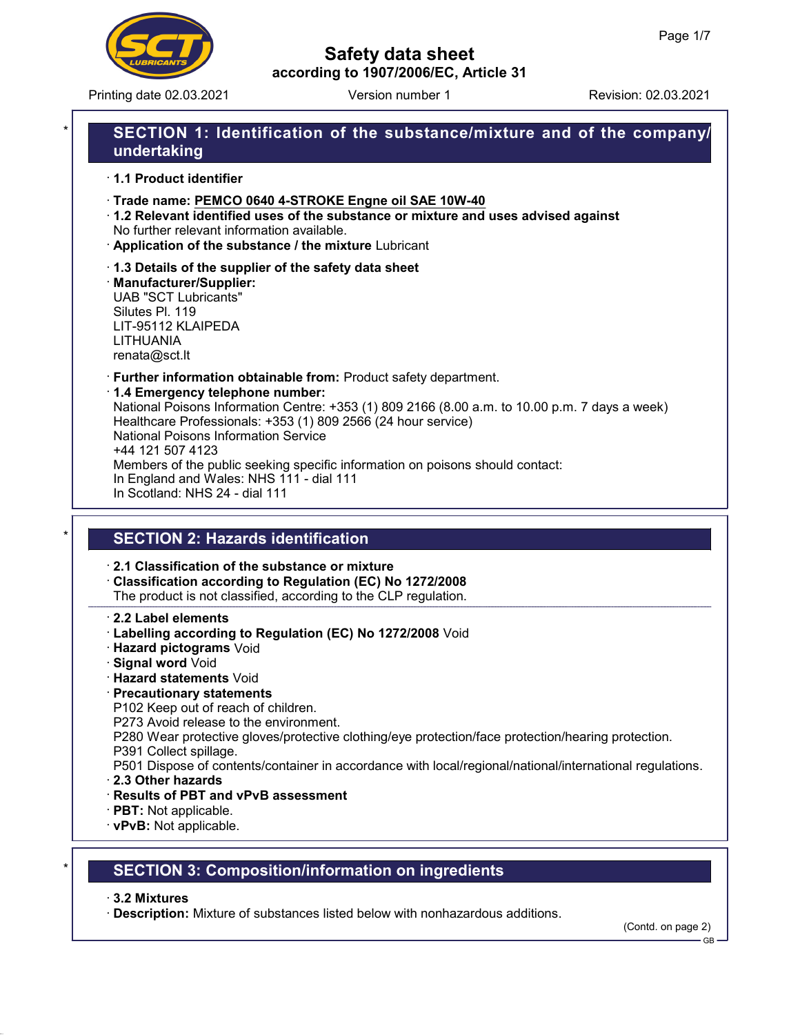

Printing date 02.03.2021 Version number 1 Revision: 02.03.2021

# Safety data sheet according to 1907/2006/EC, Article 31

# SECTION 1: Identification of the substance/mixture and of the company/ undertaking

· 1.1 Product identifier

· Trade name: PEMCO 0640 4-STROKE Engne oil SAE 10W-40

- · 1.2 Relevant identified uses of the substance or mixture and uses advised against No further relevant information available.
- · Application of the substance / the mixture Lubricant
- · 1.3 Details of the supplier of the safety data sheet

· Manufacturer/Supplier: UAB "SCT Lubricants" Silutes Pl. 119 LIT-95112 KLAIPEDA LITHUANIA renata@sct.lt

· Further information obtainable from: Product safety department.

### · 1.4 Emergency telephone number:

National Poisons Information Centre: +353 (1) 809 2166 (8.00 a.m. to 10.00 p.m. 7 days a week) Healthcare Professionals: +353 (1) 809 2566 (24 hour service) National Poisons Information Service +44 121 507 4123 Members of the public seeking specific information on poisons should contact: In England and Wales: NHS 111 - dial 111 In Scotland: NHS 24 - dial 111

# **SECTION 2: Hazards identification**

· 2.1 Classification of the substance or mixture

· Classification according to Regulation (EC) No 1272/2008 The product is not classified, according to the CLP regulation.

· 2.2 Label elements

- · Labelling according to Regulation (EC) No 1272/2008 Void
- · Hazard pictograms Void
- · Signal word Void
- · Hazard statements Void
- · Precautionary statements

P102 Keep out of reach of children.

P273 Avoid release to the environment.

P280 Wear protective gloves/protective clothing/eye protection/face protection/hearing protection.

- P391 Collect spillage.
- P501 Dispose of contents/container in accordance with local/regional/national/international regulations.
- · 2.3 Other hazards
- · Results of PBT and vPvB assessment
- · PBT: Not applicable.
- · vPvB: Not applicable.

# **SECTION 3: Composition/information on ingredients**

#### · 3.2 Mixtures

· Description: Mixture of substances listed below with nonhazardous additions.

(Contd. on page 2)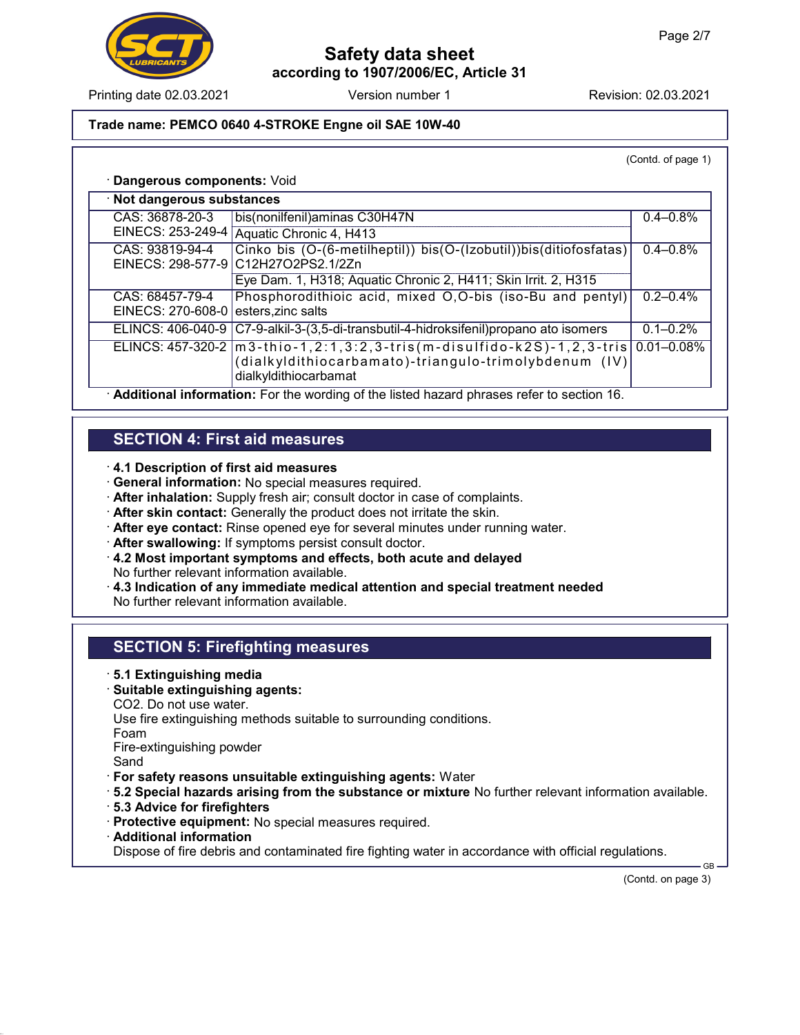

Printing date 02.03.2021 **Revision: 02.03.2021** Version number 1 Revision: 02.03.2021

### Trade name: PEMCO 0640 4-STROKE Engne oil SAE 10W-40

(Contd. of page 1)

#### · Dangerous components: Void

| · Not dangerous substances                                                                  |                                                                                                                                                             |                 |  |
|---------------------------------------------------------------------------------------------|-------------------------------------------------------------------------------------------------------------------------------------------------------------|-----------------|--|
| CAS: 36878-20-3                                                                             | bis(nonilfenil) aminas C30H47N                                                                                                                              | $0.4 - 0.8\%$   |  |
|                                                                                             | EINECS: 253-249-4 Aquatic Chronic 4, H413                                                                                                                   |                 |  |
| CAS: 93819-94-4                                                                             | Cinko bis (O-(6-metilheptil)) bis(O-(Izobutil))bis(ditiofosfatas)<br>EINECS: 298-577-9 C12H27O2PS2.1/2Zn                                                    | $0.4 - 0.8\%$   |  |
|                                                                                             | Eye Dam. 1, H318; Aquatic Chronic 2, H411; Skin Irrit. 2, H315                                                                                              |                 |  |
| CAS: 68457-79-4<br>EINECS: $270-608-0$ esters, zinc salts                                   | Phosphorodithioic acid, mixed O,O-bis (iso-Bu and pentyl)                                                                                                   | $0.2 - 0.4\%$   |  |
|                                                                                             | ELINCS: 406-040-9   C7-9-alkil-3-(3,5-di-transbutil-4-hidroksifenil) propano ato isomers                                                                    | $0.1 - 0.2\%$   |  |
|                                                                                             | ELINCS: $457-320-2$  m3-thio-1,2:1,3:2,3-tris(m-disulfido-k2S)-1,2,3-tris<br>(dialkyldithiocarbamato)-triangulo-trimolybdenum (IV)<br>dialkyldithiocarbamat | $0.01 - 0.08\%$ |  |
| . Additional information: For the wording of the ligted because phropes refer to eastion 18 |                                                                                                                                                             |                 |  |

· Additional information: For the wording of the listed hazard phrases refer to section 16.

## SECTION 4: First aid measures

- · 4.1 Description of first aid measures
- · General information: No special measures required.
- · After inhalation: Supply fresh air; consult doctor in case of complaints.
- · After skin contact: Generally the product does not irritate the skin.
- · After eye contact: Rinse opened eye for several minutes under running water.
- · After swallowing: If symptoms persist consult doctor.
- · 4.2 Most important symptoms and effects, both acute and delayed No further relevant information available.
- · 4.3 Indication of any immediate medical attention and special treatment needed No further relevant information available.

## SECTION 5: Firefighting measures

#### · 5.1 Extinguishing media

- · Suitable extinguishing agents:
- CO2. Do not use water.

Use fire extinguishing methods suitable to surrounding conditions.

Foam

Fire-extinguishing powder

Sand

- · For safety reasons unsuitable extinguishing agents: Water
- · 5.2 Special hazards arising from the substance or mixture No further relevant information available.
- · 5.3 Advice for firefighters
- · Protective equipment: No special measures required.
- · Additional information

Dispose of fire debris and contaminated fire fighting water in accordance with official regulations.

(Contd. on page 3)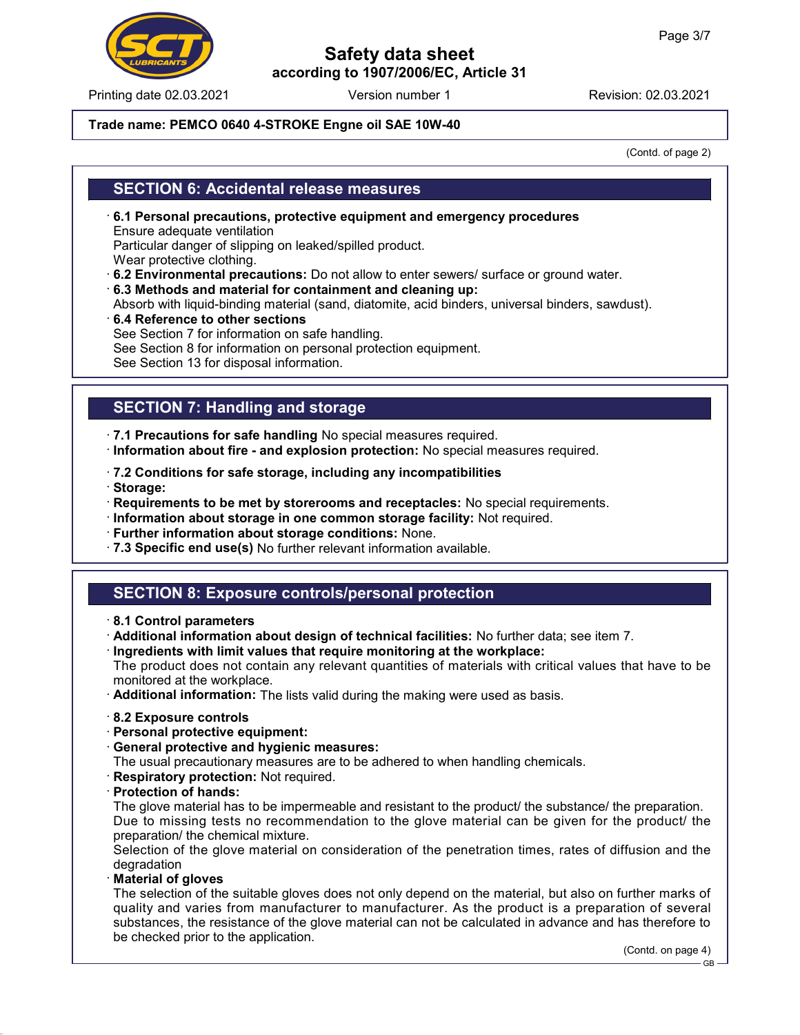Printing date 02.03.2021 **Revision: 02.03.2021** Version number 1 Revision: 02.03.2021

### Trade name: PEMCO 0640 4-STROKE Engne oil SAE 10W-40

(Contd. of page 2)

## SECTION 6: Accidental release measures

- · 6.1 Personal precautions, protective equipment and emergency procedures Ensure adequate ventilation Particular danger of slipping on leaked/spilled product. Wear protective clothing.
- · 6.2 Environmental precautions: Do not allow to enter sewers/ surface or ground water.
- · 6.3 Methods and material for containment and cleaning up:
- Absorb with liquid-binding material (sand, diatomite, acid binders, universal binders, sawdust).
- · 6.4 Reference to other sections See Section 7 for information on safe handling. See Section 8 for information on personal protection equipment. See Section 13 for disposal information.

## SECTION 7: Handling and storage

- · 7.1 Precautions for safe handling No special measures required.
- · Information about fire and explosion protection: No special measures required.
- · 7.2 Conditions for safe storage, including any incompatibilities
- · Storage:
- · Requirements to be met by storerooms and receptacles: No special requirements.
- · Information about storage in one common storage facility: Not required.
- · Further information about storage conditions: None.
- · 7.3 Specific end use(s) No further relevant information available.

## SECTION 8: Exposure controls/personal protection

- · 8.1 Control parameters
- · Additional information about design of technical facilities: No further data; see item 7.
- · Ingredients with limit values that require monitoring at the workplace:

The product does not contain any relevant quantities of materials with critical values that have to be monitored at the workplace.

- · Additional information: The lists valid during the making were used as basis.
- · 8.2 Exposure controls
- · Personal protective equipment:
- · General protective and hygienic measures:

The usual precautionary measures are to be adhered to when handling chemicals.

- · Respiratory protection: Not required.
- · Protection of hands:

The glove material has to be impermeable and resistant to the product/ the substance/ the preparation. Due to missing tests no recommendation to the glove material can be given for the product/ the preparation/ the chemical mixture.

Selection of the glove material on consideration of the penetration times, rates of diffusion and the degradation

· Material of gloves

The selection of the suitable gloves does not only depend on the material, but also on further marks of quality and varies from manufacturer to manufacturer. As the product is a preparation of several substances, the resistance of the glove material can not be calculated in advance and has therefore to be checked prior to the application.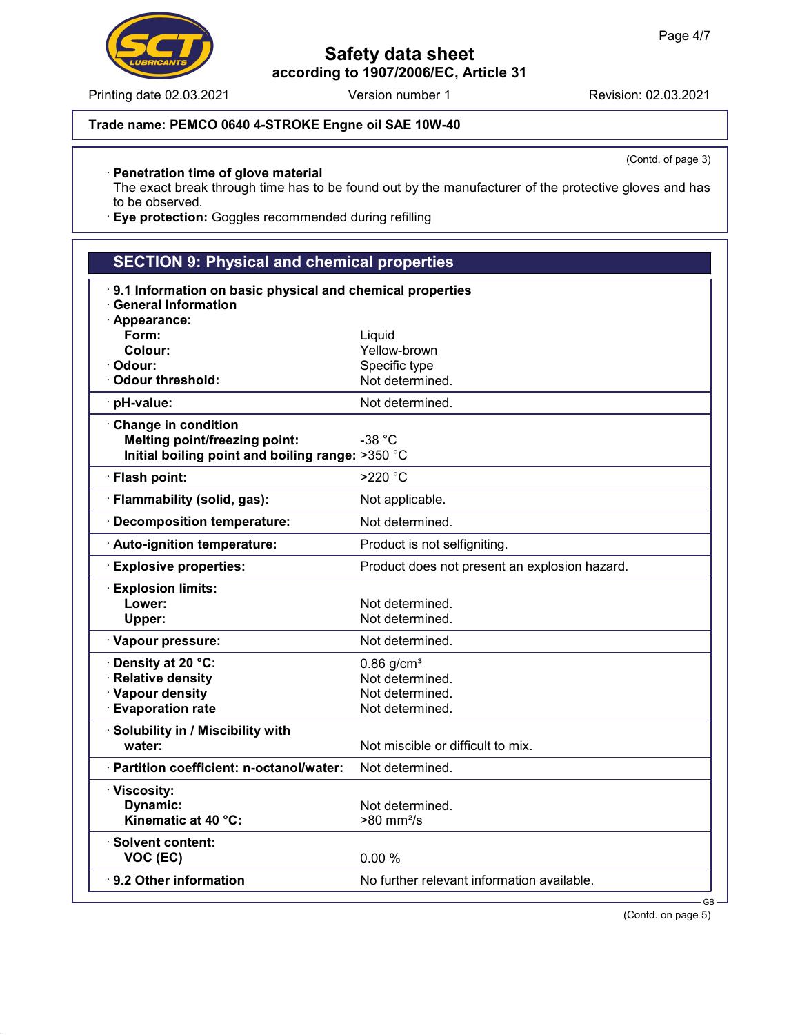### Trade name: PEMCO 0640 4-STROKE Engne oil SAE 10W-40

(Contd. of page 3)

### · Penetration time of glove material

The exact break through time has to be found out by the manufacturer of the protective gloves and has to be observed.

· Eye protection: Goggles recommended during refilling

| <b>SECTION 9: Physical and chemical properties</b>                                      |                                               |  |  |
|-----------------------------------------------------------------------------------------|-----------------------------------------------|--|--|
| 9.1 Information on basic physical and chemical properties<br><b>General Information</b> |                                               |  |  |
| · Appearance:                                                                           |                                               |  |  |
| Form:                                                                                   | Liquid                                        |  |  |
| Colour:                                                                                 | Yellow-brown                                  |  |  |
| · Odour:                                                                                | Specific type                                 |  |  |
| · Odour threshold:                                                                      | Not determined.                               |  |  |
| pH-value:                                                                               | Not determined.                               |  |  |
| Change in condition                                                                     |                                               |  |  |
| <b>Melting point/freezing point:</b>                                                    | $-38 °C$                                      |  |  |
| Initial boiling point and boiling range: >350 °C                                        |                                               |  |  |
| · Flash point:                                                                          | >220 °C                                       |  |  |
| · Flammability (solid, gas):                                                            | Not applicable.                               |  |  |
| · Decomposition temperature:                                                            | Not determined.                               |  |  |
| · Auto-ignition temperature:                                                            | Product is not selfigniting.                  |  |  |
| <b>Explosive properties:</b>                                                            | Product does not present an explosion hazard. |  |  |
| <b>Explosion limits:</b>                                                                |                                               |  |  |
| Lower:                                                                                  | Not determined.                               |  |  |
| Upper:                                                                                  | Not determined.                               |  |  |
| · Vapour pressure:                                                                      | Not determined.                               |  |  |
| · Density at 20 °C:                                                                     | $0.86$ g/cm <sup>3</sup>                      |  |  |
| · Relative density                                                                      | Not determined.                               |  |  |
| · Vapour density                                                                        | Not determined.                               |  |  |
| <b>Evaporation rate</b>                                                                 | Not determined.                               |  |  |
| · Solubility in / Miscibility with                                                      |                                               |  |  |
| water:                                                                                  | Not miscible or difficult to mix.             |  |  |
| · Partition coefficient: n-octanol/water:                                               | Not determined.                               |  |  |
| · Viscosity:                                                                            |                                               |  |  |
| Dynamic:                                                                                | Not determined.                               |  |  |
| Kinematic at 40 °C:                                                                     | $>80$ mm <sup>2</sup> /s                      |  |  |
| · Solvent content:                                                                      |                                               |  |  |
| VOC (EC)                                                                                | 0.00%                                         |  |  |
| 9.2 Other information                                                                   | No further relevant information available.    |  |  |
|                                                                                         |                                               |  |  |

(Contd. on page 5)

GB



Printing date 02.03.2021 Version number 1 Revision: 02.03.2021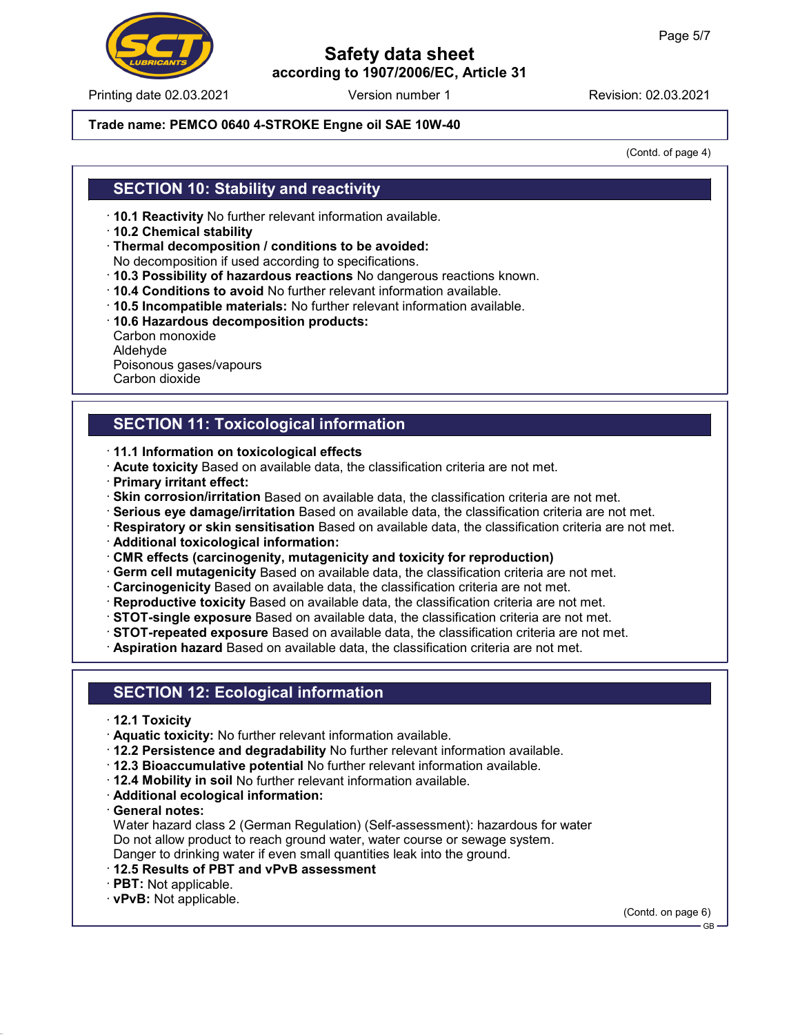#### Printing date 02.03.2021 **Version number 1** Revision: 02.03.2021

### Safety data sheet according to 1907/2006/EC, Article 31

#### Trade name: PEMCO 0640 4-STROKE Engne oil SAE 10W-40

(Contd. of page 4)

### SECTION 10: Stability and reactivity

- · 10.1 Reactivity No further relevant information available.
- · 10.2 Chemical stability
- · Thermal decomposition / conditions to be avoided:
- No decomposition if used according to specifications.
- · 10.3 Possibility of hazardous reactions No dangerous reactions known.
- · 10.4 Conditions to avoid No further relevant information available.
- · 10.5 Incompatible materials: No further relevant information available.
- · 10.6 Hazardous decomposition products:
- Carbon monoxide Aldehyde Poisonous gases/vapours Carbon dioxide

# SECTION 11: Toxicological information

- · 11.1 Information on toxicological effects
- · Acute toxicity Based on available data, the classification criteria are not met.
- · Primary irritant effect:
- · Skin corrosion/irritation Based on available data, the classification criteria are not met.
- · Serious eye damage/irritation Based on available data, the classification criteria are not met.
- · Respiratory or skin sensitisation Based on available data, the classification criteria are not met.
- · Additional toxicological information:
- · CMR effects (carcinogenity, mutagenicity and toxicity for reproduction)
- · Germ cell mutagenicity Based on available data, the classification criteria are not met.
- · Carcinogenicity Based on available data, the classification criteria are not met.
- · Reproductive toxicity Based on available data, the classification criteria are not met.
- · STOT-single exposure Based on available data, the classification criteria are not met.
- · STOT-repeated exposure Based on available data, the classification criteria are not met.
- · Aspiration hazard Based on available data, the classification criteria are not met.

## SECTION 12: Ecological information

- · 12.1 Toxicity
- · Aquatic toxicity: No further relevant information available.
- · 12.2 Persistence and degradability No further relevant information available.
- · 12.3 Bioaccumulative potential No further relevant information available.
- · 12.4 Mobility in soil No further relevant information available.
- · Additional ecological information:
- · General notes:

Water hazard class 2 (German Regulation) (Self-assessment): hazardous for water Do not allow product to reach ground water, water course or sewage system. Danger to drinking water if even small quantities leak into the ground.

- · 12.5 Results of PBT and vPvB assessment
- · PBT: Not applicable.
- · vPvB: Not applicable.

(Contd. on page 6)

GB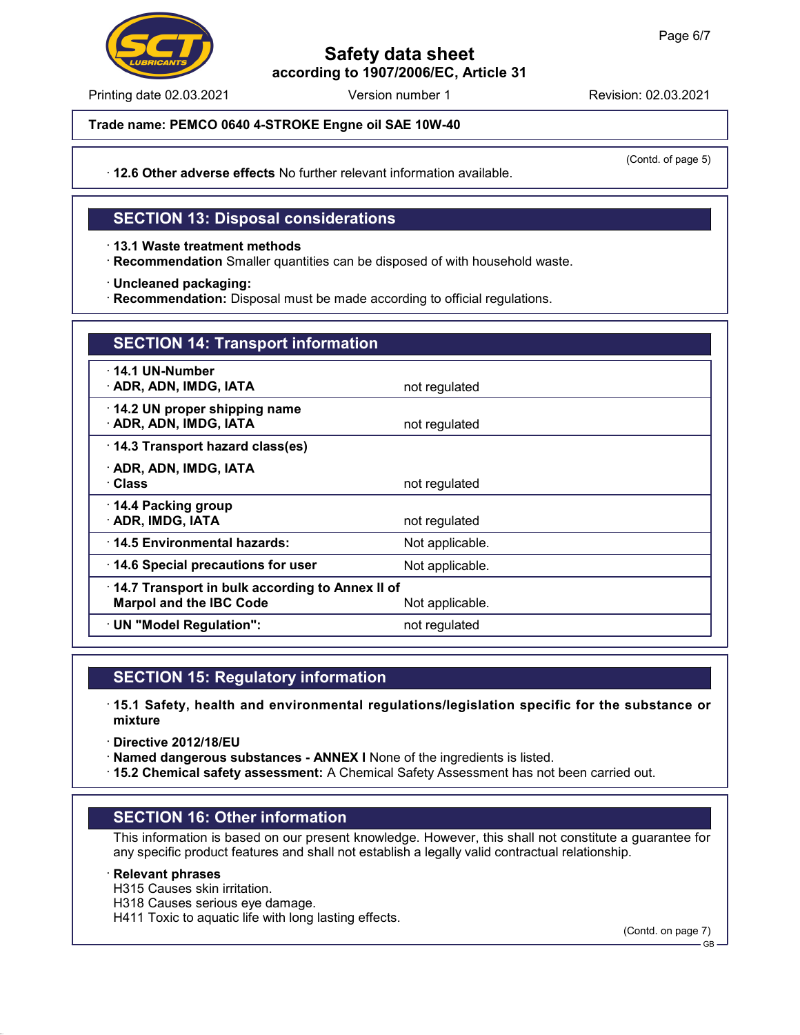Printing date 02.03.2021 **Revision: 02.03.2021** Version number 1 Revision: 02.03.2021

Trade name: PEMCO 0640 4-STROKE Engne oil SAE 10W-40

(Contd. of page 5)

· 12.6 Other adverse effects No further relevant information available.

## SECTION 13: Disposal considerations

· 13.1 Waste treatment methods

· Recommendation Smaller quantities can be disposed of with household waste.

· Uncleaned packaging:

· Recommendation: Disposal must be made according to official regulations.

| <b>SECTION 14: Transport information</b>                                                             |                 |  |  |
|------------------------------------------------------------------------------------------------------|-----------------|--|--|
| 14.1 UN-Number<br>· ADR, ADN, IMDG, IATA                                                             | not regulated   |  |  |
| $\cdot$ 14.2 UN proper shipping name<br>· ADR, ADN, IMDG, IATA                                       | not regulated   |  |  |
| 14.3 Transport hazard class(es)                                                                      |                 |  |  |
| · ADR, ADN, IMDG, IATA<br>· Class                                                                    | not regulated   |  |  |
| $\cdot$ 14.4 Packing group<br>· ADR, IMDG, IATA                                                      | not regulated   |  |  |
| 14.5 Environmental hazards:                                                                          | Not applicable. |  |  |
| 14.6 Special precautions for user                                                                    | Not applicable. |  |  |
| 14.7 Transport in bulk according to Annex II of<br><b>Marpol and the IBC Code</b><br>Not applicable. |                 |  |  |
| · UN "Model Regulation":                                                                             | not regulated   |  |  |

### SECTION 15: Regulatory information

· 15.1 Safety, health and environmental regulations/legislation specific for the substance or mixture

· Directive 2012/18/EU

· Named dangerous substances - ANNEX I None of the ingredients is listed.

· 15.2 Chemical safety assessment: A Chemical Safety Assessment has not been carried out.

## SECTION 16: Other information

This information is based on our present knowledge. However, this shall not constitute a guarantee for any specific product features and shall not establish a legally valid contractual relationship.

#### · Relevant phrases

- H315 Causes skin irritation.
- H318 Causes serious eye damage.

H411 Toxic to aquatic life with long lasting effects.

(Contd. on page 7)